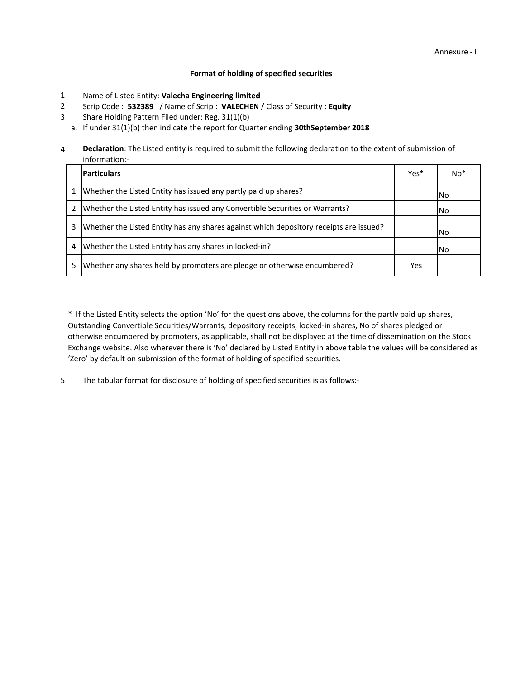## **Format of holding of specified securities**

- Name of Listed Entity: **Valecha Engineering limited** 1
- Scrip Code : **532389** / Name of Scrip : **VALECHEN** / Class of Security : **Equity** 2
- Share Holding Pattern Filed under: Reg. 31(1)(b) 3
	- a. If under 31(1)(b) then indicate the report for Quarter ending **30thSeptember 2018**

4 **Declaration**: The Listed entity is required to submit the following declaration to the extent of submission of information:-

|   | <b>Particulars</b>                                                                     | Yes* | No <sup>*</sup> |
|---|----------------------------------------------------------------------------------------|------|-----------------|
|   | Whether the Listed Entity has issued any partly paid up shares?                        |      | INo.            |
| 2 | Whether the Listed Entity has issued any Convertible Securities or Warrants?           |      | l No            |
| 3 | Whether the Listed Entity has any shares against which depository receipts are issued? |      | l No            |
| 4 | Whether the Listed Entity has any shares in locked-in?                                 |      | l No            |
| 5 | Whether any shares held by promoters are pledge or otherwise encumbered?               | Yes  |                 |

\* If the Listed Entity selects the option 'No' for the questions above, the columns for the partly paid up shares, Outstanding Convertible Securities/Warrants, depository receipts, locked-in shares, No of shares pledged or otherwise encumbered by promoters, as applicable, shall not be displayed at the time of dissemination on the Stock Exchange website. Also wherever there is 'No' declared by Listed Entity in above table the values will be considered as 'Zero' by default on submission of the format of holding of specified securities.

The tabular format for disclosure of holding of specified securities is as follows:- 5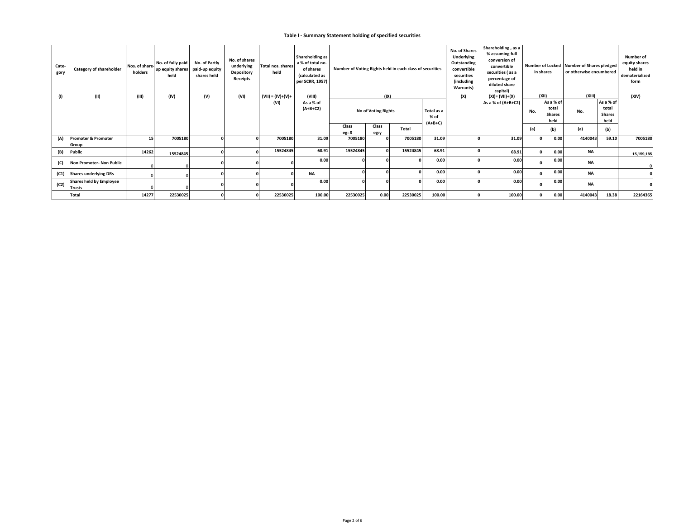## **Table I - Summary Statement holding of specified securities**

| Cate-<br>gory | Category of shareholder                         | Nos. of share-<br>holders | No. of fully paid<br>up equity shares<br>held | No. of Partly<br>paid-up equity<br>shares held | No. of shares<br>underlying<br>Depository<br>Receipts | <b>Total nos, shares</b><br>held | Shareholding as<br>a % of total no.<br>of shares<br>(calculated as<br>per SCRR, 1957) | Number of Voting Rights held in each class of securities |                     |              |                    | No. of Shares<br>Underlying<br>Outstanding<br>convertible<br>securities<br>(including<br>Warrants) | Shareholding, as a<br>% assuming full<br>conversion of<br>convertible<br>securities (as a<br>percentage of<br>diluted share<br>capital) |       | in shares                                   | Number of Locked Number of Shares pledged<br>or otherwise encumbered |                                             | Number of<br>equity shares<br>held in<br>dematerialized<br>form |
|---------------|-------------------------------------------------|---------------------------|-----------------------------------------------|------------------------------------------------|-------------------------------------------------------|----------------------------------|---------------------------------------------------------------------------------------|----------------------------------------------------------|---------------------|--------------|--------------------|----------------------------------------------------------------------------------------------------|-----------------------------------------------------------------------------------------------------------------------------------------|-------|---------------------------------------------|----------------------------------------------------------------------|---------------------------------------------|-----------------------------------------------------------------|
| $\mathbf{u}$  | (II)                                            | (III)                     | (IV)                                          | (V)                                            | (VI)                                                  | $(VII) = (IV)+(V)+$              | (VIII)                                                                                |                                                          | (IX)                |              |                    | (X)                                                                                                | (XI)= (VII)+(X)                                                                                                                         | (XII) |                                             | (XIII)                                                               |                                             | (XIV)                                                           |
|               |                                                 |                           |                                               |                                                |                                                       | (VI)                             | As a % of<br>$(A+B+C2)$                                                               |                                                          | No of Voting Rights |              | Total as a<br>% of |                                                                                                    | As a % of $(A+B+C2)$                                                                                                                    | No.   | As a % of<br>total<br><b>Shares</b><br>held | No.                                                                  | As a % of<br>total<br><b>Shares</b><br>held |                                                                 |
|               |                                                 |                           |                                               |                                                |                                                       |                                  |                                                                                       | Class<br>eg: X                                           | Class<br>eg:v       | <b>Total</b> | $(A+B+C)$          |                                                                                                    |                                                                                                                                         | (a)   | (b)                                         | (a)                                                                  | (b)                                         |                                                                 |
| (A)           | Promoter & Promoter<br>Group                    | 15                        | 7005180                                       |                                                |                                                       | 7005180                          | 31.09                                                                                 | 7005180                                                  |                     | 7005180      | 31.09              |                                                                                                    | 31.09                                                                                                                                   |       | 0.00                                        | 4140043                                                              | 59.10                                       | 7005180                                                         |
| (B)           | Public                                          | 14262                     | 15524845                                      |                                                |                                                       | 15524845                         | 68.91                                                                                 | 15524845                                                 |                     | 15524845     | 68.91              |                                                                                                    | 68.91                                                                                                                                   |       | 0.00                                        | <b>NA</b>                                                            |                                             | 15,159,185                                                      |
| (C)           | Non Promoter- Non Public                        |                           |                                               |                                                |                                                       |                                  | 0.00                                                                                  |                                                          |                     |              | 0.00               |                                                                                                    | 0.00                                                                                                                                    |       | 0.00                                        | <b>NA</b>                                                            |                                             |                                                                 |
| (C1)          | <b>Shares underlying DRs</b>                    |                           |                                               |                                                |                                                       |                                  | <b>NA</b>                                                                             |                                                          |                     |              | 0.00               |                                                                                                    | 0.00                                                                                                                                    |       | 0.00                                        | <b>NA</b>                                                            |                                             |                                                                 |
| (C2)          | <b>Shares held by Employee</b><br><b>Trusts</b> |                           |                                               |                                                |                                                       |                                  | 0.00                                                                                  |                                                          |                     |              | 0.00               |                                                                                                    | 0.00                                                                                                                                    |       | 0.00                                        | <b>NA</b>                                                            |                                             |                                                                 |
|               | Total                                           | 14277                     | 22530025                                      |                                                |                                                       | 22530025                         | 100.00                                                                                | 22530025                                                 | 0.00                | 22530025     | 100.00             |                                                                                                    | 100.00                                                                                                                                  |       | 0.00                                        | 4140043                                                              | 18.38                                       | 22164365                                                        |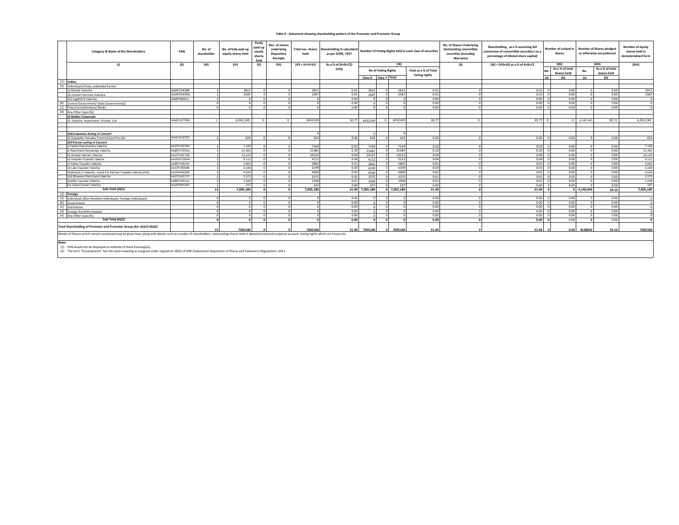## **Table II - Statement showing shareholding pattern of the Promoter and Promoter Group**

|       | PAN<br>Category & Name of the Shareholders                                                                                                                                                                                                                              |            | No. of<br>shareholder | No. of fully paid up<br>equity shares held | Partly<br>paid-up<br>equity<br>shares<br>held | Nos. of shares<br>underlying<br>Depository<br>Receipts | held              | Total nos. shares Shareholding % calculated<br>as per SCRR, 1957 |                 |                       |                         | Number of Voting Rights held in each class of securities | No. of Shares Underlying<br><b>Outstanding convertible</b><br>securities (including<br>Warrants) | Shareholding, as a % assuming full<br>onversion of convertible securities (as a<br>percentage of diluted share capital) | Number of Locked in<br>shares |                           |                    | <b>Number of Shares pledged</b><br>or otherwise encumbered | Number of equity<br>shares held in<br>dematerialized form |
|-------|-------------------------------------------------------------------------------------------------------------------------------------------------------------------------------------------------------------------------------------------------------------------------|------------|-----------------------|--------------------------------------------|-----------------------------------------------|--------------------------------------------------------|-------------------|------------------------------------------------------------------|-----------------|-----------------------|-------------------------|----------------------------------------------------------|--------------------------------------------------------------------------------------------------|-------------------------------------------------------------------------------------------------------------------------|-------------------------------|---------------------------|--------------------|------------------------------------------------------------|-----------------------------------------------------------|
|       | (1)                                                                                                                                                                                                                                                                     | (II)       | (III)                 | (IV)                                       | (V)                                           | (VI)                                                   | $(VII = IV+V+VI)$ | As a % of (A+B+C2)                                               |                 |                       | (1)                     |                                                          | (X)                                                                                              | $(XI) = (VII)+(X)$ as a % of A+B+C2                                                                                     |                               | (X  )                     |                    | (XIII)                                                     | (XIV)                                                     |
|       |                                                                                                                                                                                                                                                                         |            |                       |                                            |                                               |                                                        |                   | (VIII)                                                           |                 | No of Voting Rights   |                         | Total as a % of Total                                    |                                                                                                  |                                                                                                                         |                               | As a % of total           | No.                | As a % of total                                            |                                                           |
|       |                                                                                                                                                                                                                                                                         |            |                       |                                            |                                               |                                                        |                   |                                                                  |                 | Class X Class Y Total |                         | Voting rights                                            |                                                                                                  |                                                                                                                         | (a)                           | <b>Shares held</b><br>(b) | (a)                | shares held<br>(b)                                         |                                                           |
|       | $(1)$ Indian                                                                                                                                                                                                                                                            |            |                       |                                            |                                               |                                                        |                   |                                                                  |                 |                       |                         |                                                          |                                                                                                  |                                                                                                                         |                               |                           |                    |                                                            |                                                           |
| (a)   | Individuals/Hindu undivided Family                                                                                                                                                                                                                                      |            |                       |                                            |                                               |                                                        |                   |                                                                  |                 |                       |                         |                                                          |                                                                                                  |                                                                                                                         |                               |                           |                    |                                                            |                                                           |
|       | (i) Dinesh Valecha                                                                                                                                                                                                                                                      | AAAPV5458R |                       | 2812                                       |                                               | $\Omega$                                               | 2812              | 0.01                                                             |                 | 2812                  | 2812                    | 0.01                                                     |                                                                                                  | 0.01                                                                                                                    |                               | 0.00                      |                    | 0.00                                                       | 2812                                                      |
|       | (ii) Umesh Hariram Valecha                                                                                                                                                                                                                                              | AAAPV5459Q |                       | 2587                                       |                                               | $\Omega$                                               | 2587              | 0.01                                                             |                 | 2587                  | 2587                    | 0.01                                                     |                                                                                                  | 0.01                                                                                                                    |                               | 0.00                      |                    | 0.00                                                       | 2587                                                      |
|       | (iii) Jagdish K Valecha                                                                                                                                                                                                                                                 | AAAPV6661L |                       |                                            |                                               | $\Omega$                                               |                   | 0.00                                                             |                 | $\Omega$              |                         | 0.00                                                     |                                                                                                  | 0.00                                                                                                                    |                               | 0.00                      |                    | 0.00                                                       |                                                           |
|       | (b) Central Government/ State Government(s)                                                                                                                                                                                                                             |            | $\Omega$              |                                            |                                               | $\Omega$                                               |                   | 0.00                                                             |                 | $\Omega$              |                         | 0.00                                                     |                                                                                                  | 0.00                                                                                                                    |                               | 0.00                      |                    | 0.00                                                       |                                                           |
| (c)   | Financial Institutions/ Banks                                                                                                                                                                                                                                           |            | $\Omega$              |                                            |                                               | $\Omega$                                               |                   | 0.00                                                             |                 | $\Omega$              |                         | 0.00                                                     |                                                                                                  | 0.00                                                                                                                    |                               | 0.00                      |                    | 0.00                                                       |                                                           |
|       | (d) Any Other (specify)                                                                                                                                                                                                                                                 |            |                       |                                            |                                               |                                                        |                   |                                                                  |                 |                       |                         |                                                          |                                                                                                  |                                                                                                                         |                               |                           |                    |                                                            |                                                           |
|       | i) Bodies Corporate                                                                                                                                                                                                                                                     |            |                       |                                            |                                               |                                                        |                   |                                                                  |                 |                       |                         |                                                          |                                                                                                  |                                                                                                                         |                               |                           |                    |                                                            |                                                           |
|       | (i) Valecha Investment Private Ltd.                                                                                                                                                                                                                                     | AAACV2759G | $\overline{1}$        | 6.932.249                                  |                                               | $\Omega$                                               | 6932249           | 30.77                                                            |                 | 6932249               | 0 6932249               | 30.77                                                    | $\Omega$                                                                                         | $30.77$ 0                                                                                                               |                               |                           | $0\quad 4,140,043$ | 59.72                                                      | 6.932.249                                                 |
|       |                                                                                                                                                                                                                                                                         |            |                       |                                            |                                               |                                                        |                   |                                                                  |                 |                       |                         |                                                          |                                                                                                  |                                                                                                                         |                               |                           |                    |                                                            |                                                           |
|       |                                                                                                                                                                                                                                                                         |            |                       |                                            |                                               |                                                        |                   |                                                                  |                 |                       |                         |                                                          |                                                                                                  |                                                                                                                         |                               |                           |                    |                                                            |                                                           |
|       | (ii)Companies Acting in Concert                                                                                                                                                                                                                                         |            |                       |                                            |                                               |                                                        |                   |                                                                  |                 |                       |                         |                                                          |                                                                                                  |                                                                                                                         |                               |                           |                    |                                                            |                                                           |
|       | (i) Gopaldas Vasudev Construction Pvt.Ltd.                                                                                                                                                                                                                              | AAACG1875C |                       | 424                                        |                                               | $\Omega$                                               | 424               | 0.00                                                             |                 | 424                   | 424                     | 0.00                                                     |                                                                                                  | 0.00                                                                                                                    |                               | 0.00                      |                    | 0.00                                                       | 424                                                       |
|       | (iii) Person acting in Concert                                                                                                                                                                                                                                          |            |                       |                                            |                                               |                                                        |                   |                                                                  |                 |                       |                         |                                                          |                                                                                                  |                                                                                                                         |                               |                           |                    |                                                            |                                                           |
|       | i) Pavitra Ramchandra Valecha                                                                                                                                                                                                                                           | AACPV6379D |                       | 7.169                                      |                                               | $\Omega$                                               | 7169              | 0.03                                                             |                 | 7169                  | 7169                    | 0.03                                                     |                                                                                                  | 0.03                                                                                                                    |                               | 0.00                      |                    | 0.00                                                       | 7,169                                                     |
|       | ii) Ramchand Hemandas Valecha                                                                                                                                                                                                                                           | AABPV7054Q |                       | 21,481                                     |                                               | $\Omega$                                               | 21481             | 0.10                                                             |                 | 21481                 | 21481                   | 0.10                                                     |                                                                                                  | 0.10                                                                                                                    |                               | 0.00                      |                    | 0.00                                                       | 21,481                                                    |
|       | iii) Sharda Hariram Valecha                                                                                                                                                                                                                                             | AACPV8571B |                       | 10.125                                     |                                               | $\Omega$                                               | 10125             | 0.04                                                             |                 | 10125                 | 10125                   | 0.04                                                     |                                                                                                  | 0.04                                                                                                                    |                               | 0.00                      |                    | 0.00                                                       | 10.125                                                    |
|       | iv) Vasudev Pvarelal Valecha                                                                                                                                                                                                                                            | AAAHV1284M |                       | 9.112                                      |                                               | $\Omega$                                               | 9112              | 0.04                                                             |                 | 9112                  | 9112                    | 0.04                                                     |                                                                                                  | 0.04                                                                                                                    |                               | 0.00                      |                    | 0.00                                                       | 9,112                                                     |
|       | v) Kavita Vasudev Valecha                                                                                                                                                                                                                                               | AABPV4823H |                       | 2.862                                      |                                               | $\Omega$                                               | 2862              | 0.01                                                             |                 | 2862                  | 2862                    | 0.01                                                     |                                                                                                  | 0.01                                                                                                                    |                               | 0.00                      |                    | 0.00                                                       | 2,862                                                     |
|       | vi) Lata Vasudev Valecha                                                                                                                                                                                                                                                | AACPV8690B |                       | 6.199                                      |                                               |                                                        | 6199              | 0.03                                                             |                 | 6199                  | 6199                    | 0.03                                                     |                                                                                                  | 0.03                                                                                                                    |                               | 0.00                      |                    | 0.00                                                       | 6,199                                                     |
|       | (vii)Dinesh H Valecha - Karta For Hariram Pvarelal Valecha (Huf)                                                                                                                                                                                                        | AAAHH0934E |                       | 4.500                                      |                                               | $\Omega$                                               | 4500              | 0.02                                                             |                 | 4500                  | 4500                    | 0.02                                                     |                                                                                                  | 0.02                                                                                                                    |                               | 0.00                      |                    | 0.00                                                       | 4.500                                                     |
|       | (viii) Bhavana Ramchand Valecha                                                                                                                                                                                                                                         | AACPV6377P |                       | 3.375                                      |                                               | $\Omega$                                               | 3375              | 0.01                                                             |                 | 3375                  | 3375                    | 0.01                                                     |                                                                                                  | 0.01                                                                                                                    |                               | 0.00                      |                    | 0.00                                                       | 3,375                                                     |
|       | (ix)Alka Vasudev Valecha                                                                                                                                                                                                                                                | AABPV4824A |                       | 1,948                                      |                                               | $\Omega$                                               | 1948              | 0.01                                                             |                 | 1948                  | 1948                    | 0.01                                                     |                                                                                                  | 0.01                                                                                                                    |                               | 0.00                      |                    | 0.00                                                       | 1,948                                                     |
|       | (xi) Geeta Dinesh Valecha                                                                                                                                                                                                                                               | AGAPS6028C |                       | 337                                        |                                               | $\Omega$                                               | 337               | 0.00                                                             |                 | 337                   | 337                     | 0.00                                                     |                                                                                                  | 0.00                                                                                                                    |                               | 0.00                      |                    | 0.00                                                       | 337                                                       |
|       | Sub-Total (A)(1)                                                                                                                                                                                                                                                        |            | 15 <sup>1</sup>       | 7.005.180                                  |                                               | $\Omega$                                               | 7.005.180         |                                                                  | 31.09 7.005.180 |                       | 7,005,180<br>$\sqrt{2}$ | 31.09                                                    |                                                                                                  | 31.09                                                                                                                   |                               |                           | $0$ 4.140.043      | 59.10                                                      | 7,005,180                                                 |
|       | (2) Foreign                                                                                                                                                                                                                                                             |            |                       |                                            |                                               |                                                        |                   |                                                                  |                 |                       |                         |                                                          |                                                                                                  |                                                                                                                         |                               |                           |                    |                                                            |                                                           |
|       | (a) Individuals (Non-Resident Individuals/ Foreign Individuals)                                                                                                                                                                                                         |            |                       |                                            |                                               | $\Omega$                                               |                   | 0.00                                                             |                 |                       |                         | 0.00                                                     |                                                                                                  | 0.00                                                                                                                    |                               | 0.00                      |                    | 0.00                                                       |                                                           |
|       | (b) Government                                                                                                                                                                                                                                                          |            |                       |                                            |                                               | $\Omega$                                               |                   | 0.00                                                             |                 |                       |                         | 0.00                                                     |                                                                                                  | 0.00                                                                                                                    |                               | 0.00                      |                    | 0.00                                                       |                                                           |
|       | (c) Institutions                                                                                                                                                                                                                                                        |            |                       |                                            |                                               | $\Omega$                                               |                   | 0.00                                                             |                 | $\Omega$              |                         | 0.00                                                     |                                                                                                  | 0.00                                                                                                                    |                               | 0.00                      |                    | 0.00                                                       |                                                           |
|       | (d) Foreign Portfolio Investor                                                                                                                                                                                                                                          |            | $\Omega$              |                                            |                                               | $\Omega$                                               |                   | 0.00                                                             |                 | $\sim$                |                         | 0.00                                                     |                                                                                                  | 0.00                                                                                                                    |                               | 0.00                      |                    | 0.00                                                       |                                                           |
|       | (e) Any Other (specify)                                                                                                                                                                                                                                                 |            | $\Omega$              |                                            |                                               | $\Omega$                                               | $\sqrt{2}$        | 0.00                                                             |                 | $\Omega$              | $\Omega$                | 0.00<br>$\Omega$                                         |                                                                                                  | 0.00                                                                                                                    |                               | 0.00                      |                    | 0.00                                                       |                                                           |
|       | Sub-Total (A)(2)                                                                                                                                                                                                                                                        |            |                       |                                            |                                               | $\sqrt{2}$                                             | $\sqrt{2}$        | 0.00                                                             |                 | $\Omega$              | $\sqrt{2}$              | 0.00<br>$\mathbf{r}$                                     |                                                                                                  | 0.00                                                                                                                    |                               | 0.00                      |                    | 0.00                                                       |                                                           |
|       | Total Shareholding of Promoter and Promoter Group (A)= (A)(1)+(A)(2)                                                                                                                                                                                                    |            |                       | 7005180                                    |                                               |                                                        | 7005180           | 31.09                                                            |                 | 7005180               | 7005180                 | 31.09                                                    |                                                                                                  | 31.09                                                                                                                   |                               | 0.00                      | 4140043            | 59.10                                                      | 7005180                                                   |
| Note: | Details of Shares which remain unclaimed may be given hear along with details such as number of shareholders, outstanding shares held in demat/unclaimed suspense account, voting rights which are frozen etc.<br>THE RESEARCH CONTROL CONTRACTOR CONTRACTOR CONTRACTOR |            |                       |                                            |                                               |                                                        |                   |                                                                  |                 |                       |                         |                                                          |                                                                                                  |                                                                                                                         |                               |                           |                    |                                                            |                                                           |

(1) PAN would not be displayed on website of Stock Exchange(s). (2) The term "Encumbrance" has the same meaning as assigned under regulation 28(3) of SEBI (Substantial Acquisition of Shares and Takeovers) Regulations, 2011.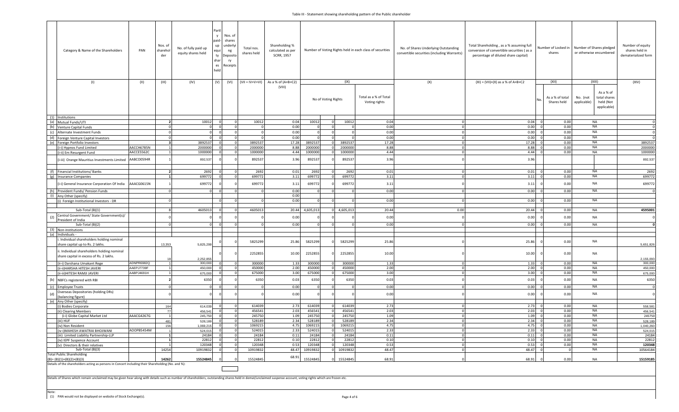|                                                                  | Category & Name of the Shareholders                                                                                                                                                                            | PAN        | Nos. of<br>sharehol<br>der | Partl<br>$\mathsf{v}$<br>paid-<br>No. of fully paid up<br>equi<br>equity shares held<br>shar<br>es<br>held | Nos. of<br>shares<br>up underly<br>ng<br>ty Deposit<br>ry<br>Receipts | Total nos.<br>shares held | Shareholding %<br>calculated as per<br>SCRR, 1957 | Number of Voting Rights held in each class of securities |  |                                        |               | No. of Shares Underlying Outstanding<br>convertible securities (including Warrants) | Total Shareholding, as a % assuming full<br>conversion of convertible securities (as a<br>percentage of diluted share capital) | Number of Locked in<br>shares | Number of Shares pledged<br>or otherwise encumbered   |                 | Number of equity<br>shares held in<br>dematerialized form |
|------------------------------------------------------------------|----------------------------------------------------------------------------------------------------------------------------------------------------------------------------------------------------------------|------------|----------------------------|------------------------------------------------------------------------------------------------------------|-----------------------------------------------------------------------|---------------------------|---------------------------------------------------|----------------------------------------------------------|--|----------------------------------------|---------------|-------------------------------------------------------------------------------------|--------------------------------------------------------------------------------------------------------------------------------|-------------------------------|-------------------------------------------------------|-----------------|-----------------------------------------------------------|
|                                                                  | (1)                                                                                                                                                                                                            | (11)       | (III)                      | (IV)<br>(V)                                                                                                | (VI)                                                                  | (VII = IV+V+VI)           | As a % of (A+B+C2)                                |                                                          |  | (IX)                                   |               | (X)                                                                                 | $(XI) = (VII)+(X)$ as a % of A+B+C2                                                                                            | (XII)                         |                                                       | (XIII)          | (XIV)                                                     |
|                                                                  |                                                                                                                                                                                                                |            |                            |                                                                                                            |                                                                       |                           | (VIII)                                            | No of Voting Rights                                      |  | Total as a % of Total<br>Voting rights |               |                                                                                     | As a % of total<br>Shares held                                                                                                 | No. (not<br>applicable)       | As a % of<br>total shares<br>held (Not<br>applicable) |                 |                                                           |
| (1) Institutions                                                 |                                                                                                                                                                                                                |            |                            |                                                                                                            |                                                                       |                           |                                                   |                                                          |  |                                        |               |                                                                                     |                                                                                                                                |                               |                                                       |                 |                                                           |
| (a) Mutual Funds/UTI                                             |                                                                                                                                                                                                                |            | $\overline{2}$             | 10012                                                                                                      |                                                                       | 10012                     | 0.04                                              | 10012                                                    |  | 10012                                  | 0.04          |                                                                                     | 0.04                                                                                                                           | 0.00                          |                                                       | NA              |                                                           |
| (b)<br>Venture Capital Funds                                     |                                                                                                                                                                                                                |            |                            |                                                                                                            | $\overline{0}$<br>$\Omega$                                            |                           | 0.00                                              |                                                          |  |                                        | 0.00          |                                                                                     | 0.00                                                                                                                           | 0.00                          |                                                       | NA              |                                                           |
| (c)<br>Alternate Investment Funds                                |                                                                                                                                                                                                                |            |                            |                                                                                                            |                                                                       |                           | 0.00                                              |                                                          |  |                                        | 0.00          |                                                                                     | 0.00                                                                                                                           | 0.00                          |                                                       | <b>NA</b>       |                                                           |
| (d)                                                              | Foreign Venture Capital Investors                                                                                                                                                                              |            |                            |                                                                                                            |                                                                       | 3892537                   | 0.00<br>17.28                                     |                                                          |  |                                        | 0.00<br>17.28 |                                                                                     | 0.00<br>17.28                                                                                                                  | 0.00                          |                                                       | NA<br><b>NA</b> | 3892537                                                   |
| (e) Foreign Portfolio Investors<br>(i-i) Hypnos Fund Limited     |                                                                                                                                                                                                                | AACCH6785N |                            | 3892537<br>2000000                                                                                         | $\Omega$<br>$\Omega$                                                  | 2000000                   | 8.88                                              | 3892537<br>200000                                        |  | 3892537<br>200000                      | 8.88          |                                                                                     | 8.88                                                                                                                           | 0.00<br>0.00                  |                                                       | NA              | 2000000                                                   |
| (i-ii) Em Resurgent Fund                                         |                                                                                                                                                                                                                | AACCE5562C |                            | 1000000                                                                                                    |                                                                       | 1000000                   | 4.44                                              | 1000000                                                  |  | 1000000                                | 4.44          |                                                                                     | 4.44                                                                                                                           | 0.00                          |                                                       | <b>NA</b>       | 1000000                                                   |
|                                                                  | [i-iii] Orange Mauritius Investments Limited AABCO0594R                                                                                                                                                        |            |                            | 892,537                                                                                                    |                                                                       | 892537                    | 3.96                                              | 892537                                                   |  | 892537                                 | 3.96          |                                                                                     | 3.96                                                                                                                           |                               |                                                       |                 | 892,537                                                   |
|                                                                  |                                                                                                                                                                                                                |            | $\overline{2}$             |                                                                                                            | $\Omega$<br>$\Omega$                                                  |                           |                                                   |                                                          |  |                                        |               |                                                                                     |                                                                                                                                |                               |                                                       |                 |                                                           |
| (f) Financial Institutions/ Banks<br>(g) Insurance Companies     |                                                                                                                                                                                                                |            |                            | 2692<br>699772                                                                                             |                                                                       | 2692<br>699772            | 0.01<br>3.11                                      | 2692<br>699772                                           |  | 2692<br>699772                         | 0.01<br>3.11  |                                                                                     | 0.01<br>3.11                                                                                                                   | 0.00<br>$\Omega$<br>0.00      |                                                       | NA<br><b>NA</b> | 2692<br>699772                                            |
|                                                                  | i-i) General Insurance Corporation Of India                                                                                                                                                                    | AAACG0615N |                            | 699772                                                                                                     |                                                                       | 699772                    | 3.11                                              | 699772                                                   |  | 699772                                 | 3.11          |                                                                                     | 3.11                                                                                                                           | 0.00                          |                                                       | NA              | 699772                                                    |
| (h) Provident Funds/ Pension Funds                               |                                                                                                                                                                                                                |            |                            |                                                                                                            |                                                                       |                           | 0.00                                              |                                                          |  |                                        | 0.00          |                                                                                     | 0.00                                                                                                                           | 0.00                          |                                                       | NA              |                                                           |
| (i) Any Other (specify)                                          |                                                                                                                                                                                                                |            |                            |                                                                                                            |                                                                       |                           | 0.00                                              |                                                          |  |                                        |               |                                                                                     |                                                                                                                                |                               |                                                       |                 |                                                           |
|                                                                  | (i) Foreign Institutional Investors - DR                                                                                                                                                                       |            |                            |                                                                                                            |                                                                       |                           | 0.00                                              |                                                          |  |                                        | 0.00          |                                                                                     | 0.00                                                                                                                           | 0.00                          |                                                       | NA              |                                                           |
|                                                                  |                                                                                                                                                                                                                |            |                            |                                                                                                            |                                                                       |                           |                                                   |                                                          |  |                                        |               |                                                                                     |                                                                                                                                |                               |                                                       | NA              |                                                           |
|                                                                  | Sub-Total (B)(1)<br>Central Government/ State Government(s)/                                                                                                                                                   |            |                            | 4605013                                                                                                    |                                                                       | 460501                    | 20.44                                             | 4,605,01                                                 |  | 4,605,01                               | 20.44         | 0.00                                                                                | 20.44                                                                                                                          | 0.00                          |                                                       |                 | 4595001                                                   |
| (2)<br>President of India                                        |                                                                                                                                                                                                                |            |                            |                                                                                                            |                                                                       |                           | 0.00                                              |                                                          |  |                                        | 0.00          |                                                                                     | 0.00                                                                                                                           | 0.00                          |                                                       | <b>NA</b>       |                                                           |
|                                                                  | Sub-Total (B)(2)                                                                                                                                                                                               |            |                            |                                                                                                            |                                                                       |                           | 0.00                                              |                                                          |  |                                        | 0.00          |                                                                                     | 0.00                                                                                                                           | 0.00                          |                                                       | NA              |                                                           |
| (3) Non-institutions                                             |                                                                                                                                                                                                                |            |                            |                                                                                                            |                                                                       |                           |                                                   |                                                          |  |                                        |               |                                                                                     |                                                                                                                                |                               |                                                       |                 |                                                           |
| (a)<br>Individuals -                                             |                                                                                                                                                                                                                |            |                            |                                                                                                            |                                                                       |                           |                                                   |                                                          |  |                                        |               |                                                                                     |                                                                                                                                |                               |                                                       |                 |                                                           |
|                                                                  | Individual shareholders holding nominal                                                                                                                                                                        |            |                            |                                                                                                            |                                                                       | 5825299                   | 25.86                                             | 5825299                                                  |  | 5825299                                | 25.86         |                                                                                     | 25.86                                                                                                                          | 0.00                          |                                                       | NA              |                                                           |
| share capital up to Rs. 2 lakhs                                  |                                                                                                                                                                                                                |            | 13,353                     | 5,825,299                                                                                                  |                                                                       |                           |                                                   |                                                          |  |                                        |               |                                                                                     |                                                                                                                                |                               |                                                       |                 | 5,651,826                                                 |
|                                                                  | ii. Individual shareholders holding nominal<br>share capital in excess of Rs. 2 lakhs.                                                                                                                         |            |                            | 2,252,855                                                                                                  |                                                                       | 2252855                   | 10.00                                             | 2252855                                                  |  | 2252855                                | 10.00         |                                                                                     | 10.00                                                                                                                          | 0.00                          |                                                       | NA              | 2,155,093                                                 |
| (ii-i) Darshana Umakant Rege                                     |                                                                                                                                                                                                                | ADNPR6982Q |                            | 300,000                                                                                                    |                                                                       | 300000                    | 1.33                                              | 300000                                                   |  | 30000                                  | 1.33          |                                                                                     | 1.33                                                                                                                           | 0.00                          |                                                       | NA              | 300,000                                                   |
| (ii-ii) HARSHA HITESH JAVERI                                     |                                                                                                                                                                                                                | AAEPJ7739F |                            | 450,000                                                                                                    |                                                                       | 450000                    | 2.00                                              | 450000                                                   |  | 450000                                 | 2.00          |                                                                                     | 2.00                                                                                                                           | 0.00                          |                                                       | NA              | 450,000                                                   |
| (ii-iii)HITESH RAMJI JAVERI                                      |                                                                                                                                                                                                                | AABPJ4691H |                            | 675,000                                                                                                    |                                                                       | 675000                    | 3.00                                              | 675000                                                   |  | 675000                                 | 3.00          |                                                                                     | 3.00                                                                                                                           | 0.00                          |                                                       | NA              | 675,000                                                   |
| (b)<br>NBFCs registered with RBI                                 |                                                                                                                                                                                                                |            |                            | 6350                                                                                                       |                                                                       | 6350                      | 0.03                                              | 6350                                                     |  | 6350                                   | 0.03          |                                                                                     | 0.03                                                                                                                           | 0.00                          |                                                       | NA              | 6350                                                      |
| (c)<br><b>Employee Trusts</b>                                    |                                                                                                                                                                                                                |            |                            |                                                                                                            | $\Omega$                                                              |                           | 0.00                                              |                                                          |  |                                        | 0.00          |                                                                                     | 0.00                                                                                                                           | 0.00                          |                                                       | NA              |                                                           |
| (d)                                                              | Overseas Depositories (holding DRs)                                                                                                                                                                            |            |                            |                                                                                                            |                                                                       |                           | 0.00                                              |                                                          |  |                                        | 0.00          |                                                                                     | 0.00                                                                                                                           | 0.00                          |                                                       | NA              |                                                           |
| (balancing figure)                                               |                                                                                                                                                                                                                |            |                            |                                                                                                            |                                                                       |                           |                                                   |                                                          |  |                                        |               |                                                                                     |                                                                                                                                |                               |                                                       |                 |                                                           |
| (e)<br>Any Other (specify)                                       |                                                                                                                                                                                                                |            |                            |                                                                                                            |                                                                       |                           |                                                   |                                                          |  |                                        |               |                                                                                     |                                                                                                                                |                               |                                                       |                 |                                                           |
| (i) Bodies Corporate                                             |                                                                                                                                                                                                                |            | 164<br>77                  | 614,039<br>456.54                                                                                          | $\Omega$<br>$\Omega$                                                  | 614039<br>456541          | 2.73<br>2.03                                      | 614039<br>456541                                         |  | 614039<br>456541                       | 2.73<br>2.03  |                                                                                     | 2.73<br>2.03                                                                                                                   | 0.00<br>0.00                  |                                                       | NA<br>NA        | 558,581                                                   |
| (ii) Clearing Members                                            | (i-i) Globe Capital Market Ltd                                                                                                                                                                                 | AAACG4267G |                            | 245,75                                                                                                     |                                                                       | 245750                    | 1.09                                              | 245750                                                   |  | 24575                                  | 1.09          |                                                                                     | 1.09                                                                                                                           | 0.00                          |                                                       | NA              | 456,541<br>245750                                         |
| (iii) HUF                                                        |                                                                                                                                                                                                                |            | 481                        | 528,189                                                                                                    | $\Omega$                                                              | 528189                    | 2.34                                              | 528189                                                   |  | 528189                                 | 2.34          |                                                                                     | 2.34                                                                                                                           | 0.00<br>$\Omega$              |                                                       | NA              | 528,189                                                   |
| (iv) Non Resident                                                |                                                                                                                                                                                                                |            | 156                        | 1,069,215                                                                                                  | $\Omega$                                                              | 1069215                   | 4.75                                              | 1069215                                                  |  | 1069215                                | 4.75          |                                                                                     | 4.75                                                                                                                           | 0.00                          |                                                       | NA              | 1,040,260                                                 |
|                                                                  | (iv-i)MAHESH AWATRAI BHOJWANI                                                                                                                                                                                  | AOOPB5454M |                            | 524,015                                                                                                    | $\Omega$                                                              | 524015                    | 2.33                                              | 524015                                                   |  | 524015                                 | 2.33          |                                                                                     | 2.33                                                                                                                           | 0.00                          |                                                       | NA              | 524,015                                                   |
|                                                                  | (iii) Limited Liability Partnership-LLP                                                                                                                                                                        |            | $\mathbf{1}$               | 24184                                                                                                      | $\Omega$<br>$\Omega$                                                  | 24184                     | 0.11                                              | 24184                                                    |  | 24184                                  | 0.11          |                                                                                     | 0.11                                                                                                                           | 0.00<br>$\Omega$              |                                                       | NA              | 24184                                                     |
| (iv) IEPF Suspence Account                                       |                                                                                                                                                                                                                |            | $\mathbf{1}$               | 22812                                                                                                      |                                                                       | 22812                     | 0.10                                              | 22812                                                    |  | 22812                                  | 0.10          |                                                                                     | 0.10                                                                                                                           | 0.00                          |                                                       | <b>NA</b>       | 22812                                                     |
| (v) Directors & their relatives                                  |                                                                                                                                                                                                                |            |                            | 120348                                                                                                     | $\Omega$                                                              | 120348                    | 0.53                                              | 120348                                                   |  | 120348                                 | 0.53          |                                                                                     | 0.53                                                                                                                           | 0.00                          |                                                       | <b>NA</b>       | 120348                                                    |
|                                                                  | Sub-Total (B)(3)                                                                                                                                                                                               |            | 14254                      | 10919832                                                                                                   |                                                                       | 10919832                  | 48.47                                             | 10919832                                                 |  | 10919832                               | 48.47         |                                                                                     | 48.47                                                                                                                          |                               |                                                       | <b>NA</b>       | 10564184                                                  |
| <b>Total Public Shareholding</b><br>$(B) = (B)(1)+(B)(2)+(B)(3)$ | Details of the shareholders acting as persons in Concert including their Shareholding (No. and %):                                                                                                             |            | 14262                      | 15524845                                                                                                   |                                                                       | 15524845                  | 68.91                                             | 15524845                                                 |  | 15524845                               | 68.91         |                                                                                     | 68.91                                                                                                                          | 0.00                          |                                                       | NA              | 15159185                                                  |
|                                                                  | Details of Shares which remain unclaimed may be given hear along with details such as number of shareholders, outstanding shares held in demat/unclaimed suspense account, voting rights which are frozen etc. |            |                            |                                                                                                            |                                                                       |                           |                                                   |                                                          |  |                                        |               |                                                                                     |                                                                                                                                |                               |                                                       |                 |                                                           |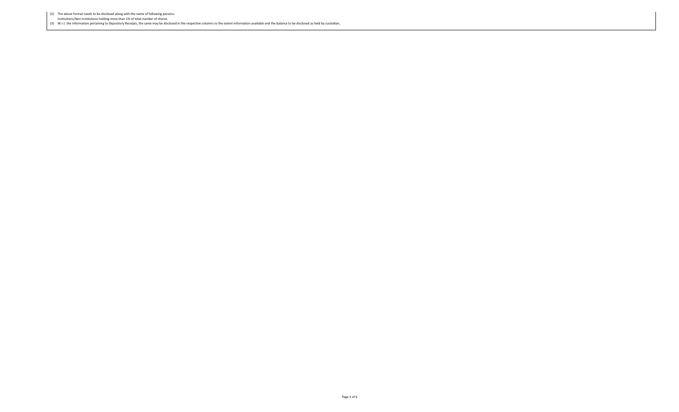(2) The above format needs to be disclosed along with the name of following persons:

Institutions/Non Institutions holding more than 1% of total number of shares.

(3) W.r.t. the information pertaining to Depository Receipts, the same may be disclosed in the respective columns to the extent information available and the balance to be disclosed as held by custodian,